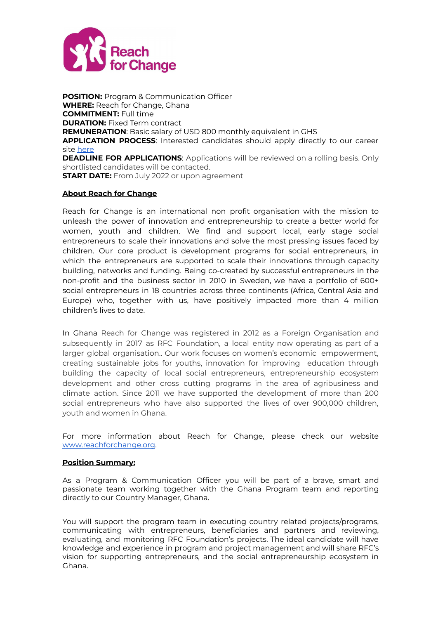

**POSITION:** Program & Communication Officer **WHERE:** Reach for Change, Ghana **COMMITMENT:** Full time **DURATION:** Fixed Term contract **REMUNERATION**: Basic salary of USD 800 monthly equivalent in GHS **APPLICATION PROCESS**: Interested candidates should apply directly to our career site [here](https://reachforchange.teamtailor.com/jobs/1776488-program-communications-officer-ghana) **DEADLINE FOR APPLICATIONS**: Applications will be reviewed on a rolling basis. Only shortlisted candidates will be contacted. **START DATE:** From July 2022 or upon agreement

#### **About Reach for Change**

Reach for Change is an international non profit organisation with the mission to unleash the power of innovation and entrepreneurship to create a better world for women, youth and children. We find and support local, early stage social entrepreneurs to scale their innovations and solve the most pressing issues faced by children. Our core product is development programs for social entrepreneurs, in which the entrepreneurs are supported to scale their innovations through capacity building, networks and funding. Being co-created by successful entrepreneurs in the non-profit and the business sector in 2010 in Sweden, we have a portfolio of 600+ social entrepreneurs in 18 countries across three continents (Africa, Central Asia and Europe) who, together with us, have positively impacted more than 4 million children's lives to date.

In Ghana Reach for Change was registered in 2012 as a Foreign Organisation and subsequently in 2017 as RFC Foundation, a local entity now operating as part of a larger global organisation.. Our work focuses on women's economic empowerment, creating sustainable jobs for youths, innovation for improving education through building the capacity of local social entrepreneurs, entrepreneurship ecosystem development and other cross cutting programs in the area of agribusiness and climate action. Since 2011 we have supported the development of more than 200 social entrepreneurs who have also supported the lives of over 900,000 children, youth and women in Ghana.

For more information about Reach for Change, please check our website [www.reachforchange.org](http://www.reachforchange.org).

#### **Position Summary:**

As a Program & Communication Officer you will be part of a brave, smart and passionate team working together with the Ghana Program team and reporting directly to our Country Manager, Ghana.

You will support the program team in executing country related projects/programs, communicating with entrepreneurs, beneficiaries and partners and reviewing, evaluating, and monitoring RFC Foundation's projects. The ideal candidate will have knowledge and experience in program and project management and will share RFC's vision for supporting entrepreneurs, and the social entrepreneurship ecosystem in Ghana.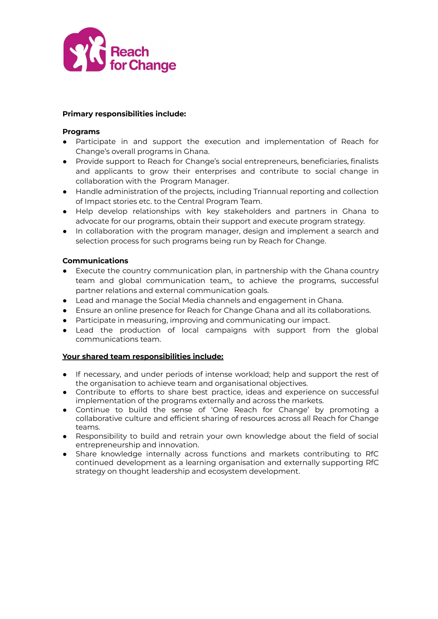

## **Primary responsibilities include:**

## **Programs**

- Participate in and support the execution and implementation of Reach for Change's overall programs in Ghana.
- Provide support to Reach for Change's social entrepreneurs, beneficiaries, finalists and applicants to grow their enterprises and contribute to social change in collaboration with the Program Manager.
- Handle administration of the projects, including Triannual reporting and collection of Impact stories etc. to the Central Program Team.
- Help develop relationships with key stakeholders and partners in Ghana to advocate for our programs, obtain their support and execute program strategy.
- In collaboration with the program manager, design and implement a search and selection process for such programs being run by Reach for Change.

# **Communications**

- Execute the country communication plan, in partnership with the Ghana country team and global communication team,, to achieve the programs, successful partner relations and external communication goals.
- Lead and manage the Social Media channels and engagement in Ghana.
- Ensure an online presence for Reach for Change Ghana and all its collaborations.
- Participate in measuring, improving and communicating our impact.
- Lead the production of local campaigns with support from the global communications team.

#### **Your shared team responsibilities include:**

- If necessary, and under periods of intense workload; help and support the rest of the organisation to achieve team and organisational objectives.
- Contribute to efforts to share best practice, ideas and experience on successful implementation of the programs externally and across the markets.
- Continue to build the sense of 'One Reach for Change' by promoting a collaborative culture and efficient sharing of resources across all Reach for Change teams.
- Responsibility to build and retrain your own knowledge about the field of social entrepreneurship and innovation.
- Share knowledge internally across functions and markets contributing to RfC continued development as a learning organisation and externally supporting RfC strategy on thought leadership and ecosystem development.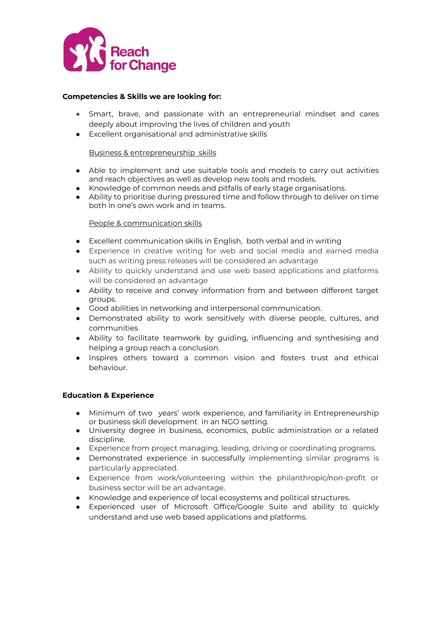

# **Competencies & Skills we are looking for:**

- Smart, brave, and passionate with an entrepreneurial mindset and cares deeply about improving the lives of children and youth
- Excellent organisational and administrative skills

#### Business & entrepreneurship skills

- Able to implement and use suitable tools and models to carry out activities and reach objectives as well as develop new tools and models.
- Knowledge of common needs and pitfalls of early stage organisations.
- Ability to prioritise during pressured time and follow through to deliver on time both in one's own work and in teams.

# People & communication skills

- Excellent communication skills in English, both verbal and in writing
- Experience in creative writing for web and social media and earned media such as writing press releases will be considered an advantage
- Ability to quickly understand and use web based applications and platforms will be considered an advantage
- Ability to receive and convey information from and between different target groups.
- Good abilities in networking and interpersonal communication.
- Demonstrated ability to work sensitively with diverse people, cultures, and communities
- Ability to facilitate teamwork by guiding, influencing and synthesising and helping a group reach a conclusion.
- Inspires others toward a common vision and fosters trust and ethical behaviour.

#### **Education & Experience**

- Minimum of two years' work experience, and familiarity in Entrepreneurship or business skill development in an NGO setting.
- University degree in business, economics, public administration or a related discipline.
- Experience from project managing, leading, driving or coordinating programs.
- Demonstrated experience in successfully implementing similar programs is particularly appreciated.
- Experience from work/volunteering within the philanthropic/non-profit or business sector will be an advantage.
- Knowledge and experience of local ecosystems and political structures.
- Experienced user of Microsoft Office/Google Suite and ability to quickly understand and use web based applications and platforms.